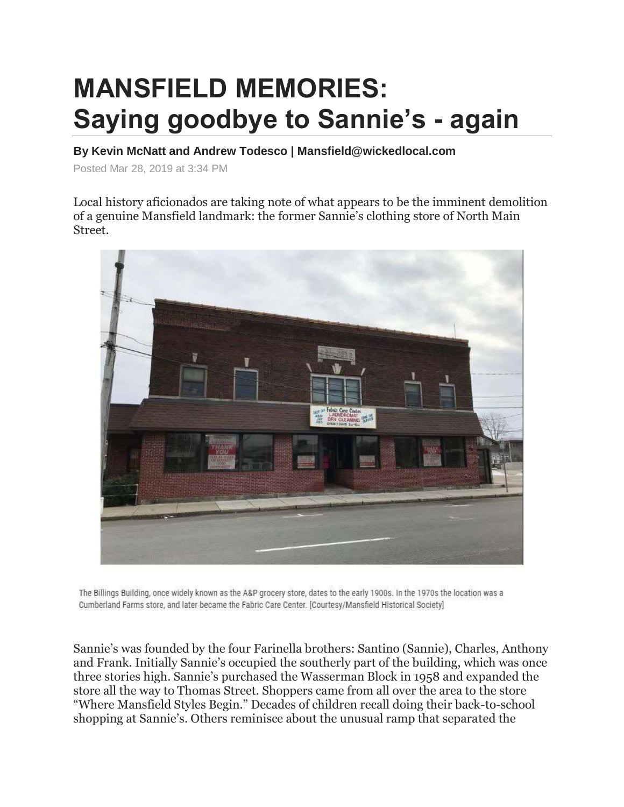## **MANSFIELD MEMORIES: Saying goodbye to Sannie's - again**

**By Kevin McNatt and Andrew Todesco | Mansfield@wickedlocal.com**

Posted Mar 28, 2019 at 3:34 PM

Local history aficionados are taking note of what appears to be the imminent demolition of a genuine Mansfield landmark: the former Sannie's clothing store of North Main Street.



The Billings Building, once widely known as the A&P grocery store, dates to the early 1900s. In the 1970s the location was a Cumberland Farms store, and later became the Fabric Care Center. [Courtesy/Mansfield Historical Society]

Sannie's was founded by the four Farinella brothers: Santino (Sannie), Charles, Anthony and Frank. Initially Sannie's occupied the southerly part of the building, which was once three stories high. Sannie's purchased the Wasserman Block in 1958 and expanded the store all the way to Thomas Street. Shoppers came from all over the area to the store "Where Mansfield Styles Begin." Decades of children recall doing their back-to-school shopping at Sannie's. Others reminisce about the unusual ramp that separated the